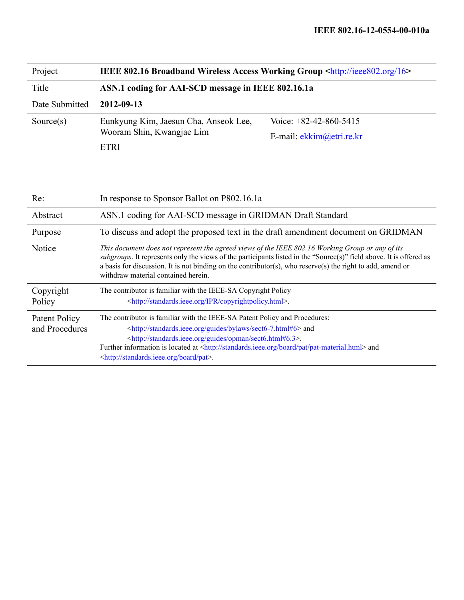| Project        | <b>IEEE 802.16 Broadband Wireless Access Working Group <http: 16="" ieee802.org=""></http:></b> |                            |  |
|----------------|-------------------------------------------------------------------------------------------------|----------------------------|--|
| Title          | ASN.1 coding for AAI-SCD message in IEEE 802.16.1a                                              |                            |  |
| Date Submitted | 2012-09-13                                                                                      |                            |  |
| Source $(s)$   | Eunkyung Kim, Jaesun Cha, Anseok Lee,                                                           | Voice: $+82-42-860-5415$   |  |
|                | Wooram Shin, Kwangjae Lim                                                                       | E-mail: $ekkim@etri.re.kr$ |  |
|                | <b>ETRI</b>                                                                                     |                            |  |

| Re:                             | In response to Sponsor Ballot on P802.16.1a                                                                                                                                                                                                                                                                                                                                                                                   |  |  |
|---------------------------------|-------------------------------------------------------------------------------------------------------------------------------------------------------------------------------------------------------------------------------------------------------------------------------------------------------------------------------------------------------------------------------------------------------------------------------|--|--|
| Abstract                        | ASN.1 coding for AAI-SCD message in GRIDMAN Draft Standard                                                                                                                                                                                                                                                                                                                                                                    |  |  |
| Purpose                         | To discuss and adopt the proposed text in the draft amendment document on GRIDMAN                                                                                                                                                                                                                                                                                                                                             |  |  |
| Notice                          | This document does not represent the agreed views of the IEEE 802.16 Working Group or any of its<br>subgroups. It represents only the views of the participants listed in the "Source(s)" field above. It is offered as<br>a basis for discussion. It is not binding on the contributor(s), who reserve(s) the right to add, amend or<br>withdraw material contained herein.                                                  |  |  |
| Copyright<br>Policy             | The contributor is familiar with the IEEE-SA Copyright Policy<br><http: copyrightpolicy.html="" ipr="" standards.ieee.org="">.</http:>                                                                                                                                                                                                                                                                                        |  |  |
| Patent Policy<br>and Procedures | The contributor is familiar with the IEEE-SA Patent Policy and Procedures:<br><http: bylaws="" guides="" sect6-7.html#6="" standards.ieee.org=""> and<br/><http: guides="" opman="" sect6.html#6.3="" standards.ieee.org="">.<br/>Further information is located at <http: board="" pat="" pat-material.html="" standards.ieee.org=""> and<br/><http: board="" pat="" standards.ieee.org="">.</http:></http:></http:></http:> |  |  |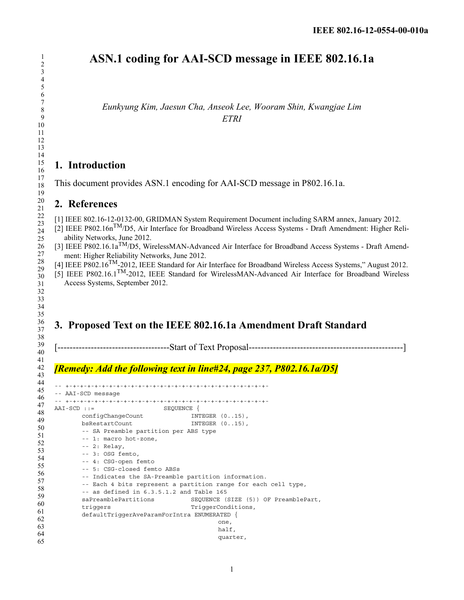# **ASN.1 coding for AAI-SCD message in IEEE 802.16.1a**

*Eunkyung Kim, Jaesun Cha, Anseok Lee, Wooram Shin, Kwangjae Lim ETRI*

### **1. Introduction**

This document provides ASN.1 encoding for AAI-SCD message in P802.16.1a.

#### **2. References**

[1] IEEE 802.16-12-0132-00, GRIDMAN System Requirement Document including SARM annex, January 2012.

[2] IEEE P802.16nTM/D5, Air Interface for Broadband Wireless Access Systems - Draft Amendment: Higher Reliability Networks, June 2012.

- [3] IEEE P802.16.1a<sup>TM</sup>/D5, WirelessMAN-Advanced Air Interface for Broadband Access Systems Draft Amendment: Higher Reliability Networks, June 2012.
- $[4]$  IEEE P802.16<sup>TM</sup>-2012, IEEE Standard for Air Interface for Broadband Wireless Access Systems," August 2012.
- [5] IEEE P802.16.1TM-2012, IEEE Standard for WirelessMAN-Advanced Air Interface for Broadband Wireless Access Systems, September 2012.

## **3. Proposed Text on the IEEE 802.16.1a Amendment Draft Standard**

[-------------------------------------Start of Text Proposal---------------------------------------------------]

#### *[Remedy: Add the following text in line#24, page 237, P802.16.1a/D5]*

```
-- +-+-+-+-+-+-+-+-+-+-+-+-+-+-+-+-+-+-+-+-+-+-+-+-+-+-+-+-
-- AAI-SCD message
-- +-+-+-+-+-+-+-+-+-+-+-+-+-+-+-+-+-+-+-+-+-+-+-+-+-+-+-+-
AAI-SCD ::= SEQUENCE {
      configChangeCount INTEGER (0..15),
       bsRestartCount INTEGER (0..15),
       -- SA Preamble partition per ABS type 
      -- 1: macro hot-zone, 
      -- 2: Relay, 
      -- 3: OSG femto, 
      -- 4: CSG-open femto 
      -- 5: CSG-closed femto ABSs 
       -- Indicates the SA-Preamble partition information. 
       -- Each 4 bits represent a partition range for each cell type, 
       -- as defined in 6.3.5.1.2 and Table 165 
      saPreamblePartitions SEQUENCE (SIZE (5)) OF PreamblePart, 
      triggers TriggerConditions,
      defaultTriggerAveParamForIntra ENUMERATED { 
                                          one, 
                                         half, 
                                          quarter,
```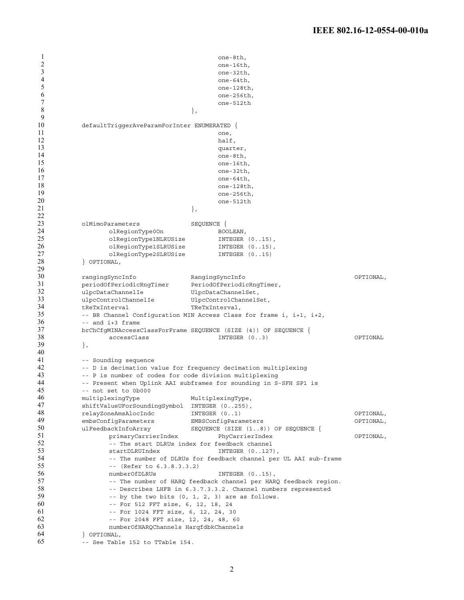```
1
2
3
4
5
6
7
8
9
10
11
12
13
14
15
16
17
18
19
20
21
22
23
24
25
26
27
28
29
30
31
32
33
34
35
36
37
38
39
40
41
42
43
44
45
46
47
48
49
50
51
52
53
54
55
56
57
58
59
60
61
62
63
64
65
                                            one-8th, 
                                            one-16th.
                                            one-32th, 
                                            one-64th, 
                                            one-128th, 
                                            one-256th, 
                                            one-512th 
                                      }, 
           defaultTriggerAveParamForInter ENUMERATED { 
                                            one, 
                                            half,
                                            quarter, 
                                            one-8th, 
                                            one-16th, 
                                            one-32thone-64th, 
                                            one-128th, 
                                            one-256th, 
                                            one-512th 
                                      }, 
          olMimoParameters SEQUENCE { 
                 olRegionType0On BOOLEAN,
                 olRegionType1NLRUSize INTEGER (0..15),
                 olRegionType1SLRUSize INTEGER (0..15),
                 olRegionType2SLRUSize INTEGER (0..15) 
          } OPTIONAL, 
          rangingSyncInfo RangingSyncInfo OPTIONAL,
          periodOfPeriodicRngTimer PeriodOfPeriodicRngTimer, 
          ulpcDataChannelIe UlpcDataChannelSet,
          ulpcControlChannelIe UlpcControlChannelSet,
          tReTxInterval TReTxInterval, 
          -- BR Channel Configuration MIN Access Class for frame i, i+1, i+2, 
          -- and i+3 frame 
          brChCfgMINAccessClassForFrame SEQUENCE (SIZE (4)) OF SEQUENCE { 
                 accessClass INTEGER (0..3) OPTIONAL 
          }, 
          -- Sounding sequence 
          -- D is decimation value for frequency decimation multiplexing 
           -- P is number of codes for code division multiplexing 
           -- Present when Uplink AAI subframes for sounding in S-SFH SP1 is 
          -- not set to 0b000 
          multiplexingType MultiplexingType,
          shiftValueUForSoundingSymbol INTEGER (0..255), 
          relayZoneAmsAlocIndc INTEGER (0..1) OPTIONAL, 
          embsConfiqParameters EMBSConfigParameters OPTIONAL,
          ulFeedbackInfoArray SEQUENCE (SIZE (1..8)) OF SEQUENCE {
                 primaryCarrierIndex PhyCarrierIndex OPTIONAL, 
                 -- The start DLRUs index for feedback channel 
                 startDLRUIndex INTEGER (0..127),
                 -- The number of DLRUs for feedback channel per UL AAI sub-frame 
                 -- (Refer to 6.3.8.3.3.2) 
                 numberOfDLRUs INTEGER (0..15),
                 -- The number of HARQ feedback channel per HARQ feedback region. 
                 -- Describes LHFB in 6.3.7.3.3.2. Channel numbers represented 
                 -- by the two bits (0, 1, 2, 3) are as follows. 
                 -- For 512 FFT size, 6, 12, 18, 24 
                 -- For 1024 FFT size, 6, 12, 24, 30 
                 -- For 2048 FFT size, 12, 24, 48, 60 
                 numberOfHARQChannels HarqfdbkChannels 
          } OPTIONAL, 
          -- See Table 152 to TTable 154.
```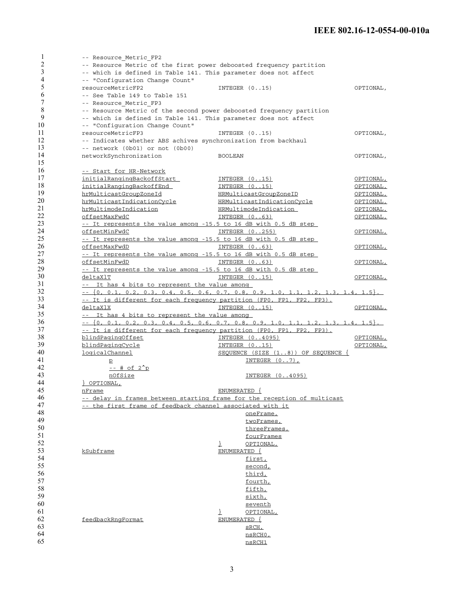| 1              | -- Resource Metric FP2                                                   |                                                                                       |           |  |
|----------------|--------------------------------------------------------------------------|---------------------------------------------------------------------------------------|-----------|--|
| $\overline{2}$ | -- Resource Metric of the first power deboosted frequency partition      |                                                                                       |           |  |
| 3              | -- which is defined in Table 141. This parameter does not affect         |                                                                                       |           |  |
| 4              | -- "Configuration Change Count"                                          |                                                                                       |           |  |
| 5              | resourceMetricFP2                                                        | INTEGER $(015)$                                                                       | OPTIONAL, |  |
| 6              | -- See Table 149 to Table 151                                            |                                                                                       |           |  |
| 7              | -- Resource_Metric_FP3                                                   |                                                                                       |           |  |
| 8              | -- Resource Metric of the second power deboosted frequency partition     |                                                                                       |           |  |
| 9              | -- which is defined in Table 141. This parameter does not affect         |                                                                                       |           |  |
| 10             | -- "Configuration Change Count"                                          |                                                                                       |           |  |
| 11             | resourceMetricFP3                                                        | INTER (015)                                                                           | OPTIONAL, |  |
| 12             | -- Indicates whether ABS achives synchronization from backhaul           |                                                                                       |           |  |
| 13             | -- network (0b01) or not (0b00)                                          |                                                                                       |           |  |
| 14             | networkSynchronization                                                   | <b>BOOLEAN</b>                                                                        | OPTIONAL, |  |
| 15             |                                                                          |                                                                                       |           |  |
| 16             | -- Start for HR-Network                                                  |                                                                                       |           |  |
| 17             | initialRangingBackoffStart                                               | <u>INTEGER (015)</u>                                                                  | OPTIONAL, |  |
| 18             | initialRangingBackoffEnd                                                 | <u>INTEGER (015)</u>                                                                  | OPTIONAL, |  |
| 19             | hrMulticastGroupZoneId                                                   | HRMulticastGroupZoneID                                                                | OPTIONAL, |  |
| 20             | hrMulticastIndicationCycle                                               | HRMulticastIndicationCycle                                                            | OPTIONAL, |  |
| 21             | hrMultimodeIndication                                                    | HRMultimodeIndication                                                                 | OPTIONAL, |  |
| 22             | offsetMaxFwdC                                                            | INTEGER (063)                                                                         | OPTIONAL, |  |
| 23             | -- It represents the value among -15.5 to 16 dB with 0.5 dB step         |                                                                                       |           |  |
| 24             | offsetMinFwdC                                                            | INTEGER (0255)                                                                        | OPTIONAL, |  |
| 25             | -- It represents the value among -15.5 to 16 dB with 0.5 dB step         |                                                                                       |           |  |
| 26             | offsetMaxFwdD                                                            | INTER (063)                                                                           | OPTIONAL, |  |
| 27             | -- It represents the value among -15.5 to 16 dB with 0.5 dB step         |                                                                                       |           |  |
| 28             | offsetMinFwdD                                                            | INTEGER (063)                                                                         | OPTIONAL, |  |
| 29             | -- It represents the value among -15.5 to 16 dB with 0.5 dB step         |                                                                                       |           |  |
| 30             | deltaXlT                                                                 | INTER (015)                                                                           | OPTIONAL, |  |
| 31             | -- It has 4 bits to represent the value among                            |                                                                                       |           |  |
| 32             |                                                                          | $- -$ {0, 0.1, 0.2, 0.3, 0.4, 0.5, 0.6, 0.7, 0.8, 0.9, 1.0, 1.1, 1.2, 1.3, 1.4, 1.5}. |           |  |
| 33             | -- It is different for each frequency partition (FPO, FP1, FP2, FP3).    |                                                                                       |           |  |
| 34             | <u>deltaXlX</u>                                                          | INTER (015)                                                                           | OPTIONAL, |  |
| 35             |                                                                          |                                                                                       |           |  |
|                | -- It has 4 bits to represent the value among                            |                                                                                       |           |  |
| 36             |                                                                          | $- -$ {0, 0.1, 0.2, 0.3, 0.4, 0.5, 0.6, 0.7, 0.8, 0.9, 1.0, 1.1, 1.2, 1.3, 1.4, 1.5}. |           |  |
| 37             | -- It is different for each frequency partition (FPO, FP1, FP2, FP3).    |                                                                                       |           |  |
| 38             | blindPagingOffset                                                        | INTEGER (04095)                                                                       | OPTIONAL, |  |
| 39             | blindPagingCycle                                                         | INTER (015)                                                                           | OPTIONAL, |  |
| 40             | logicalChannel                                                           | SEQUENCE (SIZE (18)) OF SEQUENCE {                                                    |           |  |
| 41             | $\overline{p}$                                                           | INTEGER $(07)$ ,                                                                      |           |  |
| 42             | $--$ # of $2^p$                                                          |                                                                                       |           |  |
| 43             | nOfSize                                                                  | INTEGER (04095)                                                                       |           |  |
| 44             | POPTIONAL,                                                               |                                                                                       |           |  |
| 45             | nFrame                                                                   | ENUMERATED {                                                                          |           |  |
| 46             | -- delay in frames between starting frame for the reception of multicast |                                                                                       |           |  |
| 47             | -- the first frame of feedback channel associated with it                |                                                                                       |           |  |
| 48             |                                                                          | oneFrame,                                                                             |           |  |
| 49             |                                                                          | twoFrames,                                                                            |           |  |
| 50             |                                                                          | threeFrames,                                                                          |           |  |
| 51             |                                                                          | fourFrames                                                                            |           |  |
| 52             |                                                                          | $\frac{1}{2}$<br>OPTIONAL,                                                            |           |  |
| 53             | kSubframe                                                                | ENUMERATED {                                                                          |           |  |
| 54<br>55       |                                                                          | first,                                                                                |           |  |
| 56             |                                                                          | second,                                                                               |           |  |
| 57             |                                                                          | third,<br>fourth,                                                                     |           |  |
| 58             |                                                                          |                                                                                       |           |  |
| 59             |                                                                          | fifth,                                                                                |           |  |
| 60             |                                                                          | sixth,<br><u>seventh</u>                                                              |           |  |
| 61             |                                                                          | T<br>OPTIONAL,                                                                        |           |  |
| 62             | feedbackRnqFormat                                                        | ENUMERATED {                                                                          |           |  |
| 63             |                                                                          | sRCH,                                                                                 |           |  |
| 64             |                                                                          | nsRCHO,                                                                               |           |  |
| 65             |                                                                          | nsRCH1                                                                                |           |  |